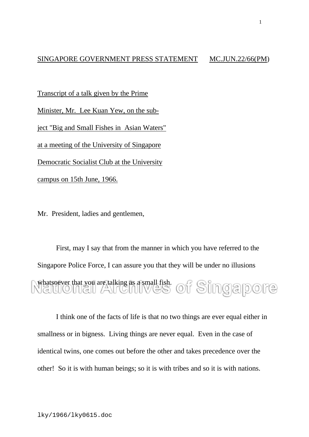#### SINGAPORE GOVERNMENT PRESS STATEMENT MC.JUN.22/66(PM)

Transcript of a talk given by the Prime

Minister, Mr. Lee Kuan Yew, on the sub-

ject "Big and Small Fishes in Asian Waters"

at a meeting of the University of Singapore

Democratic Socialist Club at the University

campus on 15th June, 1966.

Mr. President, ladies and gentlemen,

First, may I say that from the manner in which you have referred to the Singapore Police Force, I can assure you that they will be under no illusions whatsoever that you are talking as a small fish. Of Simgapore

I think one of the facts of life is that no two things are ever equal either in smallness or in bigness. Living things are never equal. Even in the case of identical twins, one comes out before the other and takes precedence over the other! So it is with human beings; so it is with tribes and so it is with nations.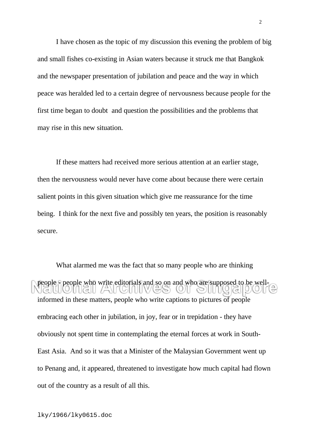I have chosen as the topic of my discussion this evening the problem of big and small fishes co-existing in Asian waters because it struck me that Bangkok and the newspaper presentation of jubilation and peace and the way in which peace was heralded led to a certain degree of nervousness because people for the first time began to doubt and question the possibilities and the problems that may rise in this new situation.

If these matters had received more serious attention at an earlier stage, then the nervousness would never have come about because there were certain salient points in this given situation which give me reassurance for the time being. I think for the next five and possibly ten years, the position is reasonably secure.

What alarmed me was the fact that so many people who are thinking people - people who write editorials and so on and who are supposed to be welllut III informed in these matters, people who write captions to pictures of people embracing each other in jubilation, in joy, fear or in trepidation - they have obviously not spent time in contemplating the eternal forces at work in South-East Asia. And so it was that a Minister of the Malaysian Government went up to Penang and, it appeared, threatened to investigate how much capital had flown out of the country as a result of all this.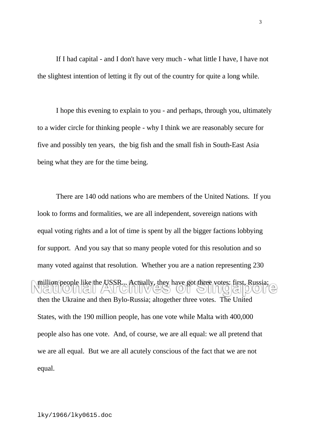If I had capital - and I don't have very much - what little I have, I have not the slightest intention of letting it fly out of the country for quite a long while.

I hope this evening to explain to you - and perhaps, through you, ultimately to a wider circle for thinking people - why I think we are reasonably secure for five and possibly ten years, the big fish and the small fish in South-East Asia being what they are for the time being.

There are 140 odd nations who are members of the United Nations. If you look to forms and formalities, we are all independent, sovereign nations with equal voting rights and a lot of time is spent by all the bigger factions lobbying for support. And you say that so many people voted for this resolution and so many voted against that resolution. Whether you are a nation representing 230 million people like the USSR... Actually, they have got three votes: first, Russia;  $\Box$   $\Box$ then the Ukraine and then Bylo-Russia; altogether three votes. The United States, with the 190 million people, has one vote while Malta with 400,000 people also has one vote. And, of course, we are all equal: we all pretend that we are all equal. But we are all acutely conscious of the fact that we are not equal.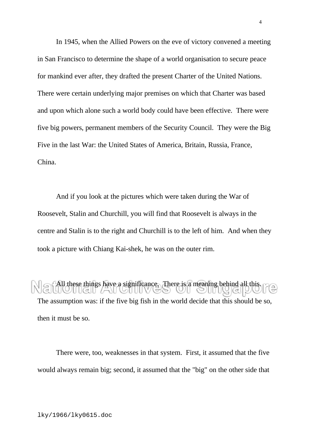In 1945, when the Allied Powers on the eve of victory convened a meeting in San Francisco to determine the shape of a world organisation to secure peace for mankind ever after, they drafted the present Charter of the United Nations. There were certain underlying major premises on which that Charter was based and upon which alone such a world body could have been effective. There were five big powers, permanent members of the Security Council. They were the Big Five in the last War: the United States of America, Britain, Russia, France, China.

And if you look at the pictures which were taken during the War of Roosevelt, Stalin and Churchill, you will find that Roosevelt is always in the centre and Stalin is to the right and Churchill is to the left of him. And when they took a picture with Chiang Kai-shek, he was on the outer rim.

All these things have a significance. There is a meaning behind all this. The assumption was: if the five big fish in the world decide that this should be so, then it must be so.

There were, too, weaknesses in that system. First, it assumed that the five would always remain big; second, it assumed that the "big" on the other side that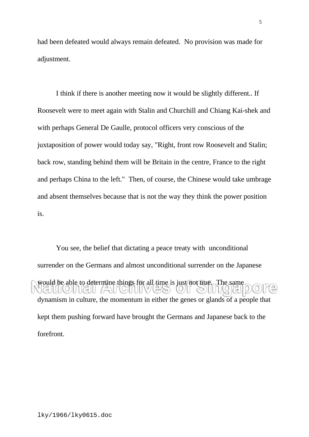had been defeated would always remain defeated. No provision was made for adjustment.

I think if there is another meeting now it would be slightly different.. If Roosevelt were to meet again with Stalin and Churchill and Chiang Kai-shek and with perhaps General De Gaulle, protocol officers very conscious of the juxtaposition of power would today say, "Right, front row Roosevelt and Stalin; back row, standing behind them will be Britain in the centre, France to the right and perhaps China to the left." Then, of course, the Chinese would take umbrage and absent themselves because that is not the way they think the power position is.

You see, the belief that dictating a peace treaty with unconditional surrender on the Germans and almost unconditional surrender on the Japanese would be able to determine things for all time is just not true. The same  $\cup$   $\sigma$ dynamism in culture, the momentum in either the genes or glands of a people that kept them pushing forward have brought the Germans and Japanese back to the forefront.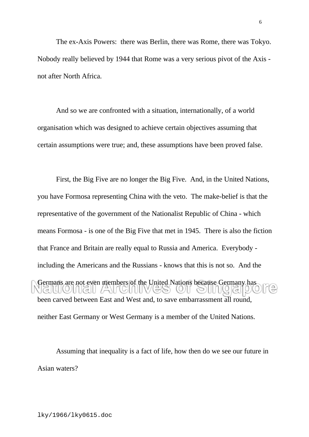The ex-Axis Powers: there was Berlin, there was Rome, there was Tokyo. Nobody really believed by 1944 that Rome was a very serious pivot of the Axis not after North Africa.

And so we are confronted with a situation, internationally, of a world organisation which was designed to achieve certain objectives assuming that certain assumptions were true; and, these assumptions have been proved false.

First, the Big Five are no longer the Big Five. And, in the United Nations, you have Formosa representing China with the veto. The make-belief is that the representative of the government of the Nationalist Republic of China - which means Formosa - is one of the Big Five that met in 1945. There is also the fiction that France and Britain are really equal to Russia and America. Everybody including the Americans and the Russians - knows that this is not so. And the Germans are not even members of the United Nations because Germany has been carved between East and West and, to save embarrassment all round, neither East Germany or West Germany is a member of the United Nations.

Assuming that inequality is a fact of life, how then do we see our future in Asian waters?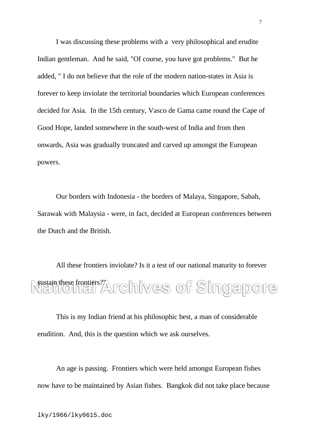I was discussing these problems with a very philosophical and erudite Indian gentleman. And he said, "Of course, you have got problems." But he added, " I do not believe that the role of the modern nation-states in Asia is forever to keep inviolate the territorial boundaries which European conferences decided for Asia. In the 15th century, Vasco de Gama came round the Cape of Good Hope, landed somewhere in the south-west of India and from then onwards, Asia was gradually truncated and carved up amongst the European powers.

Our borders with Indonesia - the borders of Malaya, Singapore, Sabah, Sarawak with Malaysia - were, in fact, decided at European conferences between the Dutch and the British.

All these frontiers inviolate? Is it a test of our national maturity to forever **Sustain these frontiers?" Archives of Singapore** 

This is my Indian friend at his philosophic best, a man of considerable erudition. And, this is the question which we ask ourselves.

An age is passing. Frontiers which were held amongst European fishes now have to be maintained by Asian fishes. Bangkok did not take place because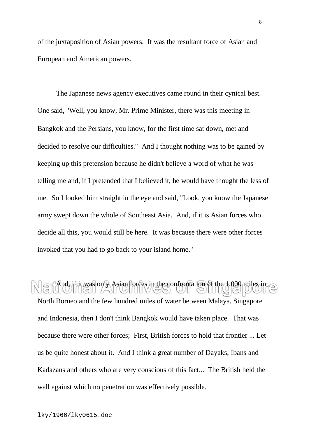of the juxtaposition of Asian powers. It was the resultant force of Asian and European and American powers.

The Japanese news agency executives came round in their cynical best. One said, "Well, you know, Mr. Prime Minister, there was this meeting in Bangkok and the Persians, you know, for the first time sat down, met and decided to resolve our difficulties." And I thought nothing was to be gained by keeping up this pretension because he didn't believe a word of what he was telling me and, if I pretended that I believed it, he would have thought the less of me. So I looked him straight in the eye and said, "Look, you know the Japanese army swept down the whole of Southeast Asia. And, if it is Asian forces who decide all this, you would still be here. It was because there were other forces invoked that you had to go back to your island home."

**And, if it was only Asian forces in the confrontation of the 1,000 miles in** 

North Borneo and the few hundred miles of water between Malaya, Singapore and Indonesia, then I don't think Bangkok would have taken place. That was because there were other forces; First, British forces to hold that frontier ... Let us be quite honest about it. And I think a great number of Dayaks, Ibans and Kadazans and others who are very conscious of this fact... The British held the wall against which no penetration was effectively possible.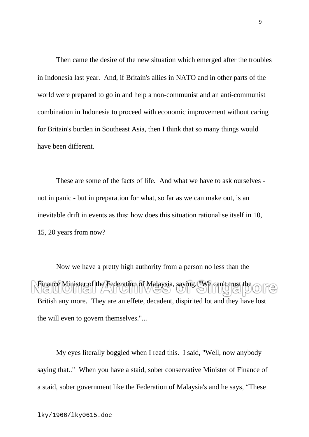Then came the desire of the new situation which emerged after the troubles in Indonesia last year. And, if Britain's allies in NATO and in other parts of the world were prepared to go in and help a non-communist and an anti-communist combination in Indonesia to proceed with economic improvement without caring for Britain's burden in Southeast Asia, then I think that so many things would have been different.

These are some of the facts of life. And what we have to ask ourselves not in panic - but in preparation for what, so far as we can make out, is an inevitable drift in events as this: how does this situation rationalise itself in 10, 15, 20 years from now?

Now we have a pretty high authority from a person no less than the Finance Minister of the Federation of Malaysia, saying, "We can't trust the British any more. They are an effete, decadent, dispirited lot and they have lost the will even to govern themselves."...

My eyes literally boggled when I read this. I said, "Well, now anybody saying that.." When you have a staid, sober conservative Minister of Finance of a staid, sober government like the Federation of Malaysia's and he says, "These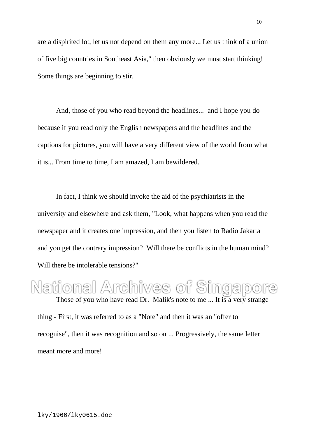are a dispirited lot, let us not depend on them any more... Let us think of a union of five big countries in Southeast Asia," then obviously we must start thinking! Some things are beginning to stir.

And, those of you who read beyond the headlines... and I hope you do because if you read only the English newspapers and the headlines and the captions for pictures, you will have a very different view of the world from what it is... From time to time, I am amazed, I am bewildered.

In fact, I think we should invoke the aid of the psychiatrists in the university and elsewhere and ask them, "Look, what happens when you read the newspaper and it creates one impression, and then you listen to Radio Jakarta and you get the contrary impression? Will there be conflicts in the human mind? Will there be intolerable tensions?"

## National Archives of Singap Those of you who have read Dr. Malik's note to me ... It is a very strange thing - First, it was referred to as a "Note" and then it was an "offer to recognise", then it was recognition and so on ... Progressively, the same letter meant more and more!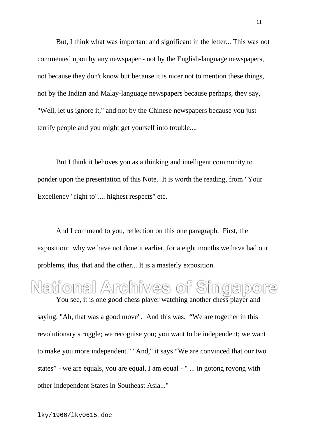But, I think what was important and significant in the letter... This was not commented upon by any newspaper - not by the English-language newspapers, not because they don't know but because it is nicer not to mention these things, not by the Indian and Malay-language newspapers because perhaps, they say, "Well, let us ignore it," and not by the Chinese newspapers because you just terrify people and you might get yourself into trouble....

But I think it behoves you as a thinking and intelligent community to ponder upon the presentation of this Note. It is worth the reading, from "Your Excellency" right to".... highest respects" etc.

And I commend to you, reflection on this one paragraph. First, the exposition: why we have not done it earlier, for a eight months we have had our problems, this, that and the other... It is a masterly exposition.

### National Archives of Singapore You see, it is one good chess player watching another chess player and

saying, "Ah, that was a good move". And this was. "We are together in this revolutionary struggle; we recognise you; you want to be independent; we want to make you more independent." "And," it says "We are convinced that our two states" - we are equals, you are equal, I am equal - " ... in gotong royong with other independent States in Southeast Asia..."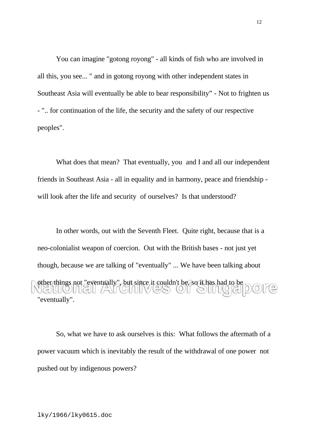You can imagine "gotong royong" - all kinds of fish who are involved in all this, you see... " and in gotong royong with other independent states in Southeast Asia will eventually be able to bear responsibility" - Not to frighten us - ".. for continuation of the life, the security and the safety of our respective peoples".

What does that mean? That eventually, you and I and all our independent friends in Southeast Asia - all in equality and in harmony, peace and friendship will look after the life and security of ourselves? Is that understood?

In other words, out with the Seventh Fleet. Quite right, because that is a neo-colonialist weapon of coercion. Out with the British bases - not just yet though, because we are talking of "eventually" ... We have been talking about other things not "eventually", but since it couldn't be, so it has had to be "eventually".

So, what we have to ask ourselves is this: What follows the aftermath of a power vacuum which is inevitably the result of the withdrawal of one power not pushed out by indigenous powers?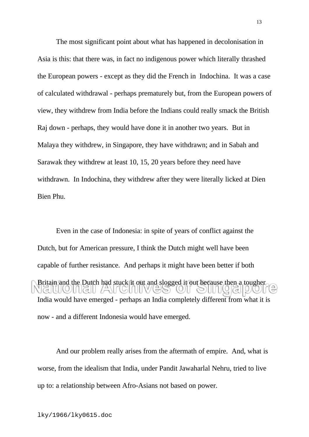The most significant point about what has happened in decolonisation in Asia is this: that there was, in fact no indigenous power which literally thrashed the European powers - except as they did the French in Indochina. It was a case of calculated withdrawal - perhaps prematurely but, from the European powers of view, they withdrew from India before the Indians could really smack the British Raj down - perhaps, they would have done it in another two years. But in Malaya they withdrew, in Singapore, they have withdrawn; and in Sabah and Sarawak they withdrew at least 10, 15, 20 years before they need have withdrawn. In Indochina, they withdrew after they were literally licked at Dien Bien Phu.

Even in the case of Indonesia: in spite of years of conflict against the Dutch, but for American pressure, I think the Dutch might well have been capable of further resistance. And perhaps it might have been better if both Britain and the Dutch had stuck it out and slogged it out because then a tougher  $\vert\vert$   $\vert\vert$   $\vert\vert$   $\vert\vert$   $\vert\vert$   $\vert\vert$   $\vert\vert$   $\vert\vert$   $\vert\vert$   $\vert\vert$   $\vert\vert$   $\vert\vert$ India would have emerged - perhaps an India completely different from what it is now - and a different Indonesia would have emerged.

And our problem really arises from the aftermath of empire. And, what is worse, from the idealism that India, under Pandit Jawaharlal Nehru, tried to live up to: a relationship between Afro-Asians not based on power.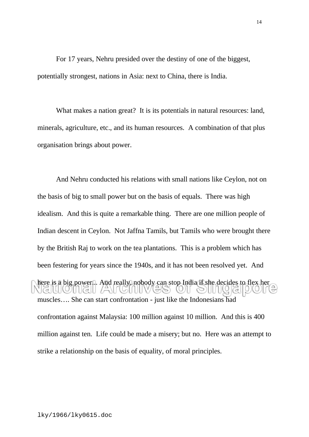For 17 years, Nehru presided over the destiny of one of the biggest, potentially strongest, nations in Asia: next to China, there is India.

What makes a nation great? It is its potentials in natural resources: land, minerals, agriculture, etc., and its human resources. A combination of that plus organisation brings about power.

And Nehru conducted his relations with small nations like Ceylon, not on the basis of big to small power but on the basis of equals. There was high idealism. And this is quite a remarkable thing. There are one million people of Indian descent in Ceylon. Not Jaffna Tamils, but Tamils who were brought there by the British Raj to work on the tea plantations. This is a problem which has been festering for years since the 1940s, and it has not been resolved yet. And here is a big power... And really, nobody can stop India if she decides to flex her  $\vert\vert\vert\sigma\vert\vert\vert$ muscles…. She can start confrontation - just like the Indonesians had confrontation against Malaysia: 100 million against 10 million. And this is 400 million against ten. Life could be made a misery; but no. Here was an attempt to strike a relationship on the basis of equality, of moral principles.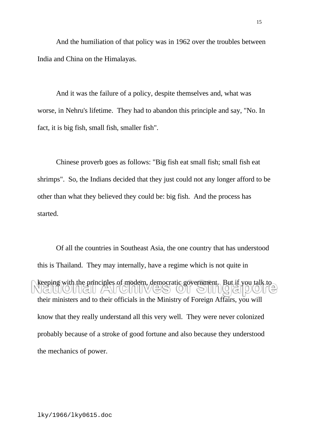And the humiliation of that policy was in 1962 over the troubles between India and China on the Himalayas.

And it was the failure of a policy, despite themselves and, what was worse, in Nehru's lifetime. They had to abandon this principle and say, "No. In fact, it is big fish, small fish, smaller fish".

Chinese proverb goes as follows: "Big fish eat small fish; small fish eat shrimps". So, the Indians decided that they just could not any longer afford to be other than what they believed they could be: big fish. And the process has started.

Of all the countries in Southeast Asia, the one country that has understood this is Thailand. They may internally, have a regime which is not quite in keeping with the principles of modern, democratic government. But if you talk to  $\binom{1}{2}$  $\vert\vert\vert\sigma\vert\vert\vert$  $\cup$   $\sigma$ their ministers and to their officials in the Ministry of Foreign Affairs, you will know that they really understand all this very well. They were never colonized probably because of a stroke of good fortune and also because they understood the mechanics of power.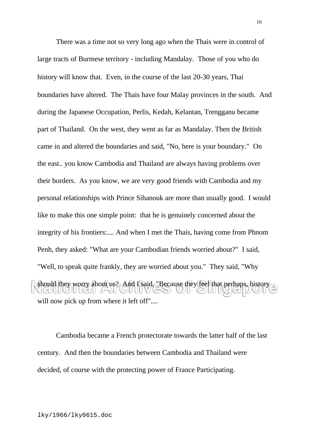There was a time not so very long ago when the Thais were in control of large tracts of Burmese territory - including Mandalay. Those of you who do history will know that. Even, in the course of the last 20-30 years, Thai boundaries have altered. The Thais have four Malay provinces in the south. And during the Japanese Occupation, Perlis, Kedah, Kelantan, Trengganu became part of Thailand. On the west, they went as far as Mandalay. Then the British came in and altered the boundaries and said, "No, here is your boundary." On the east.. you know Cambodia and Thailand are always having problems over their borders. As you know, we are very good friends with Cambodia and my personal relationships with Prince Sihanouk are more than usually good. I would like to make this one simple point: that he is genuinely concerned about the integrity of his frontiers:.... And when I met the Thais, having come from Phnom Penh, they asked: "What are your Cambodian friends worried about?" I said, "Well, to speak quite frankly, they are worried about you." They said, "Why should they worry about us? And I said, "Because they feel that perhaps, history will now pick up from where it left off"....

Cambodia became a French protectorate towards the latter half of the last century. And then the boundaries between Cambodia and Thailand were decided, of course with the protecting power of France Participating.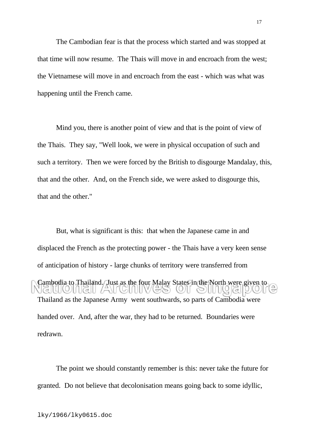The Cambodian fear is that the process which started and was stopped at that time will now resume. The Thais will move in and encroach from the west; the Vietnamese will move in and encroach from the east - which was what was happening until the French came.

Mind you, there is another point of view and that is the point of view of the Thais. They say, "Well look, we were in physical occupation of such and such a territory. Then we were forced by the British to disgourge Mandalay, this, that and the other. And, on the French side, we were asked to disgourge this, that and the other."

But, what is significant is this: that when the Japanese came in and displaced the French as the protecting power - the Thais have a very keen sense of anticipation of history - large chunks of territory were transferred from Cambodia to Thailand. Just as the four Malay States in the North were given to  $\left| \left[ \left( 0 \right) \right] \right| \left| \left[ \left[ \infty \right] \right] \right| \neq 0$ NIGHIW Thailand as the Japanese Army went southwards, so parts of Cambodia were handed over. And, after the war, they had to be returned. Boundaries were redrawn.

The point we should constantly remember is this: never take the future for granted. Do not believe that decolonisation means going back to some idyllic,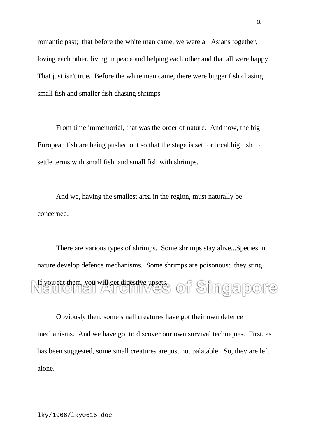romantic past; that before the white man came, we were all Asians together, loving each other, living in peace and helping each other and that all were happy. That just isn't true. Before the white man came, there were bigger fish chasing small fish and smaller fish chasing shrimps.

From time immemorial, that was the order of nature. And now, the big European fish are being pushed out so that the stage is set for local big fish to settle terms with small fish, and small fish with shrimps.

And we, having the smallest area in the region, must naturally be concerned.

There are various types of shrimps. Some shrimps stay alive...Species in nature develop defence mechanisms. Some shrimps are poisonous: they sting. If you eat them, you will get digestive upsets. Of Singapore

Obviously then, some small creatures have got their own defence mechanisms. And we have got to discover our own survival techniques. First, as has been suggested, some small creatures are just not palatable. So, they are left alone.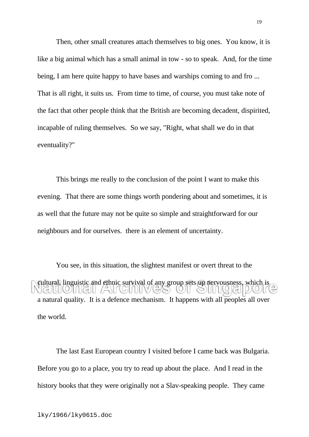Then, other small creatures attach themselves to big ones. You know, it is like a big animal which has a small animal in tow - so to speak. And, for the time being, I am here quite happy to have bases and warships coming to and fro ... That is all right, it suits us. From time to time, of course, you must take note of the fact that other people think that the British are becoming decadent, dispirited, incapable of ruling themselves. So we say, "Right, what shall we do in that eventuality?"

This brings me really to the conclusion of the point I want to make this evening. That there are some things worth pondering about and sometimes, it is as well that the future may not be quite so simple and straightforward for our neighbours and for ourselves. there is an element of uncertainty.

You see, in this situation, the slightest manifest or overt threat to the cultural, linguistic and ethnic survival of any group sets up nervousness, which is  $\Box$   $\Box$ 75 VI (USITIL a natural quality. It is a defence mechanism. It happens with all peoples all over the world.

The last East European country I visited before I came back was Bulgaria. Before you go to a place, you try to read up about the place. And I read in the history books that they were originally not a Slav-speaking people. They came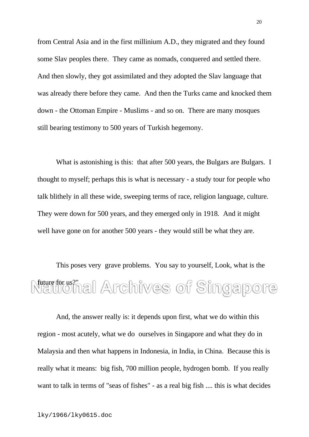from Central Asia and in the first millinium A.D., they migrated and they found some Slav peoples there. They came as nomads, conquered and settled there. And then slowly, they got assimilated and they adopted the Slav language that was already there before they came. And then the Turks came and knocked them down - the Ottoman Empire - Muslims - and so on. There are many mosques still bearing testimony to 500 years of Turkish hegemony.

What is astonishing is this: that after 500 years, the Bulgars are Bulgars. I thought to myself; perhaps this is what is necessary - a study tour for people who talk blithely in all these wide, sweeping terms of race, religion language, culture. They were down for 500 years, and they emerged only in 1918. And it might well have gone on for another 500 years - they would still be what they are.

This poses very grave problems. You say to yourself, Look, what is the future for us?"<br>Natulonal Archives of Singapore

And, the answer really is: it depends upon first, what we do within this region - most acutely, what we do ourselves in Singapore and what they do in Malaysia and then what happens in Indonesia, in India, in China. Because this is really what it means: big fish, 700 million people, hydrogen bomb. If you really want to talk in terms of "seas of fishes" - as a real big fish .... this is what decides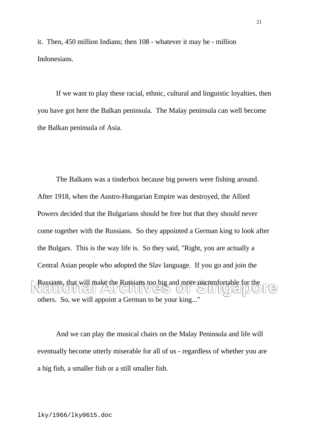it. Then, 450 million Indians; then 108 - whatever it may be - million Indonesians.

If we want to play these racial, ethnic, cultural and linguistic loyalties, then you have got here the Balkan peninsula. The Malay peninsula can well become the Balkan peninsula of Asia.

The Balkans was a tinderbox because big powers were fishing around. After 1918, when the Austro-Hungarian Empire was destroyed, the Allied Powers decided that the Bulgarians should be free but that they should never come together with the Russians. So they appointed a German king to look after the Bulgars. This is the way life is. So they said, "Right, you are actually a Central Asian people who adopted the Slav language. If you go and join the Russians, that will make the Russians too big and more uncomfortable for the  $\frac{1}{6}$ others. So, we will appoint a German to be your king..."

And we can play the musical chairs on the Malay Peninsula and life will eventually become utterly miserable for all of us - regardless of whether you are a big fish, a smaller fish or a still smaller fish.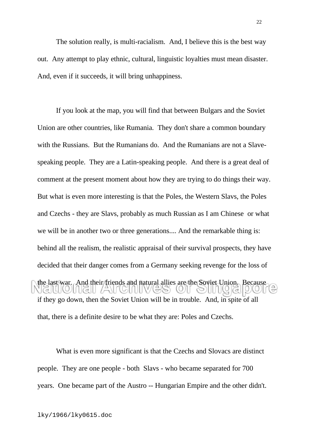The solution really, is multi-racialism. And, I believe this is the best way out. Any attempt to play ethnic, cultural, linguistic loyalties must mean disaster. And, even if it succeeds, it will bring unhappiness.

If you look at the map, you will find that between Bulgars and the Soviet Union are other countries, like Rumania. They don't share a common boundary with the Russians. But the Rumanians do. And the Rumanians are not a Slavespeaking people. They are a Latin-speaking people. And there is a great deal of comment at the present moment about how they are trying to do things their way. But what is even more interesting is that the Poles, the Western Slavs, the Poles and Czechs - they are Slavs, probably as much Russian as I am Chinese or what we will be in another two or three generations.... And the remarkable thing is: behind all the realism, the realistic appraisal of their survival prospects, they have decided that their danger comes from a Germany seeking revenge for the loss of the last war. And their friends and natural allies are the Soviet Union. Because if they go down, then the Soviet Union will be in trouble. And, in spite of all that, there is a definite desire to be what they are: Poles and Czechs.

What is even more significant is that the Czechs and Slovacs are distinct people. They are one people - both Slavs - who became separated for 700 years. One became part of the Austro -- Hungarian Empire and the other didn't.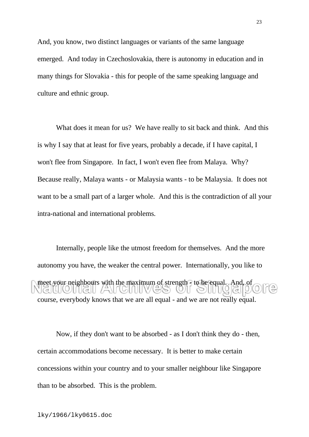And, you know, two distinct languages or variants of the same language emerged. And today in Czechoslovakia, there is autonomy in education and in many things for Slovakia - this for people of the same speaking language and culture and ethnic group.

What does it mean for us? We have really to sit back and think. And this is why I say that at least for five years, probably a decade, if I have capital, I won't flee from Singapore. In fact, I won't even flee from Malaya. Why? Because really, Malaya wants - or Malaysia wants - to be Malaysia. It does not want to be a small part of a larger whole. And this is the contradiction of all your intra-national and international problems.

Internally, people like the utmost freedom for themselves. And the more autonomy you have, the weaker the central power. Internationally, you like to meet your neighbours with the maximum of strength - to be equal. And, of UCH GILZAI UHIN course, everybody knows that we are all equal - and we are not really equal.

Now, if they don't want to be absorbed - as I don't think they do - then, certain accommodations become necessary. It is better to make certain concessions within your country and to your smaller neighbour like Singapore than to be absorbed. This is the problem.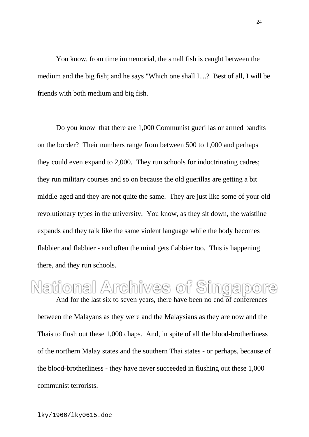You know, from time immemorial, the small fish is caught between the medium and the big fish; and he says "Which one shall I....? Best of all, I will be friends with both medium and big fish.

Do you know that there are 1,000 Communist guerillas or armed bandits on the border? Their numbers range from between 500 to 1,000 and perhaps they could even expand to 2,000. They run schools for indoctrinating cadres; they run military courses and so on because the old guerillas are getting a bit middle-aged and they are not quite the same. They are just like some of your old revolutionary types in the university. You know, as they sit down, the waistline expands and they talk like the same violent language while the body becomes flabbier and flabbier - and often the mind gets flabbier too. This is happening there, and they run schools.

# National Archives of Singapore

And for the last six to seven years, there have been no end of conferences between the Malayans as they were and the Malaysians as they are now and the Thais to flush out these 1,000 chaps. And, in spite of all the blood-brotherliness of the northern Malay states and the southern Thai states - or perhaps, because of the blood-brotherliness - they have never succeeded in flushing out these 1,000 communist terrorists.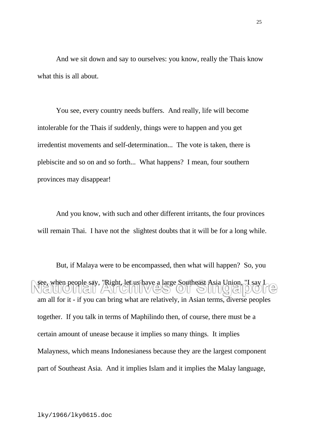And we sit down and say to ourselves: you know, really the Thais know what this is all about.

You see, every country needs buffers. And really, life will become intolerable for the Thais if suddenly, things were to happen and you get irredentist movements and self-determination... The vote is taken, there is plebiscite and so on and so forth... What happens? I mean, four southern provinces may disappear!

And you know, with such and other different irritants, the four provinces will remain Thai. I have not the slightest doubts that it will be for a long while.

But, if Malaya were to be encompassed, then what will happen? So, you see, when people say, "Right, let us have a large Southeast Asia Union, "I say I  $\left|\left|\left|\left|\left|\left|\left|\left|\right|\right|\right|\right|\right|\right|\right|$ EVELGITIEV am all for it - if you can bring what are relatively, in Asian terms, diverse peoples together. If you talk in terms of Maphilindo then, of course, there must be a certain amount of unease because it implies so many things. It implies Malayness, which means Indonesianess because they are the largest component part of Southeast Asia. And it implies Islam and it implies the Malay language,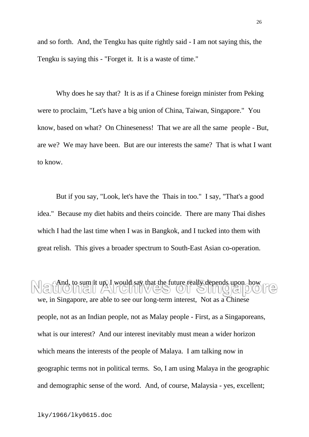and so forth. And, the Tengku has quite rightly said - I am not saying this, the Tengku is saying this - "Forget it. It is a waste of time."

Why does he say that? It is as if a Chinese foreign minister from Peking were to proclaim, "Let's have a big union of China, Taiwan, Singapore." You know, based on what? On Chineseness! That we are all the same people - But, are we? We may have been. But are our interests the same? That is what I want to know.

But if you say, "Look, let's have the Thais in too." I say, "That's a good idea." Because my diet habits and theirs coincide. There are many Thai dishes which I had the last time when I was in Bangkok, and I tucked into them with great relish. This gives a broader spectrum to South-East Asian co-operation.

And, to sum it up, I would say that the future really depends upon how we, in Singapore, are able to see our long-term interest, Not as a Chinese people, not as an Indian people, not as Malay people - First, as a Singaporeans, what is our interest? And our interest inevitably must mean a wider horizon which means the interests of the people of Malaya. I am talking now in geographic terms not in political terms. So, I am using Malaya in the geographic and demographic sense of the word. And, of course, Malaysia - yes, excellent;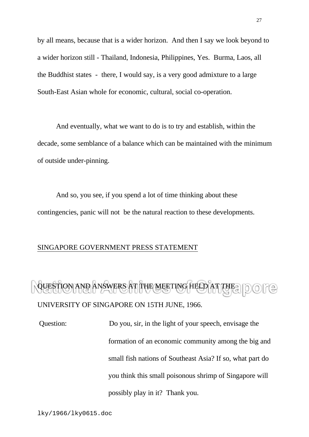by all means, because that is a wider horizon. And then I say we look beyond to a wider horizon still - Thailand, Indonesia, Philippines, Yes. Burma, Laos, all the Buddhist states - there, I would say, is a very good admixture to a large South-East Asian whole for economic, cultural, social co-operation.

And eventually, what we want to do is to try and establish, within the decade, some semblance of a balance which can be maintained with the minimum of outside under-pinning.

And so, you see, if you spend a lot of time thinking about these contingencies, panic will not be the natural reaction to these developments.

#### SINGAPORE GOVERNMENT PRESS STATEMENT

### QUESTION AND ANSWERS AT THE MEETING HELD AT THE UNIVERSITY OF SINGAPORE ON 15TH JUNE, 1966.

Question: Do you, sir, in the light of your speech, envisage the formation of an economic community among the big and small fish nations of Southeast Asia? If so, what part do you think this small poisonous shrimp of Singapore will possibly play in it? Thank you.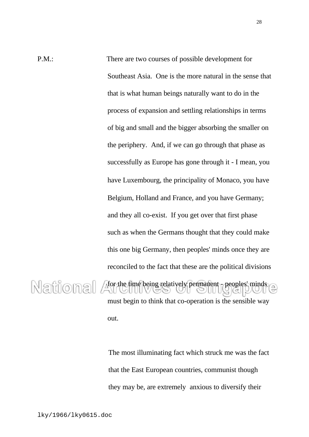P.M.: There are two courses of possible development for Southeast Asia. One is the more natural in the sense that that is what human beings naturally want to do in the process of expansion and settling relationships in terms of big and small and the bigger absorbing the smaller on the periphery. And, if we can go through that phase as successfully as Europe has gone through it - I mean, you have Luxembourg, the principality of Monaco, you have Belgium, Holland and France, and you have Germany; and they all co-exist. If you get over that first phase such as when the Germans thought that they could make this one big Germany, then peoples' minds once they are reconciled to the fact that these are the political divisions  $\mathbb{R}$ ational  $\mathbb{A}$ for the time being relatively permanent - peoples' minds

must begin to think that co-operation is the sensible way out.

The most illuminating fact which struck me was the fact that the East European countries, communist though they may be, are extremely anxious to diversify their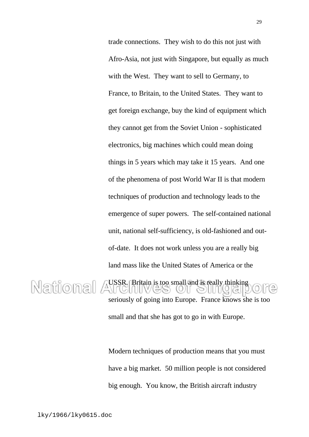trade connections. They wish to do this not just with Afro-Asia, not just with Singapore, but equally as much with the West. They want to sell to Germany, to France, to Britain, to the United States. They want to get foreign exchange, buy the kind of equipment which they cannot get from the Soviet Union - sophisticated electronics, big machines which could mean doing things in 5 years which may take it 15 years. And one of the phenomena of post World War II is that modern techniques of production and technology leads to the emergence of super powers. The self-contained national unit, national self-sufficiency, is old-fashioned and outof-date. It does not work unless you are a really big land mass like the United States of America or the

National A<sup>USSR</sup>. Britain is too small and is really thinking seriously of going into Europe. France knows she is too small and that she has got to go in with Europe.

> Modern techniques of production means that you must have a big market. 50 million people is not considered big enough. You know, the British aircraft industry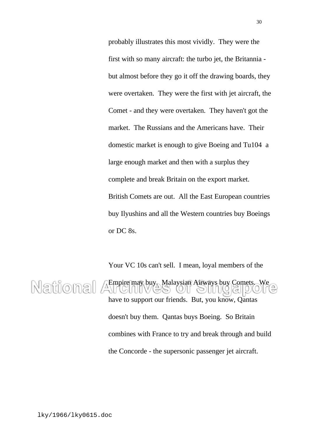probably illustrates this most vividly. They were the first with so many aircraft: the turbo jet, the Britannia but almost before they go it off the drawing boards, they were overtaken. They were the first with jet aircraft, the Comet - and they were overtaken. They haven't got the market. The Russians and the Americans have. Their domestic market is enough to give Boeing and Tu104 a large enough market and then with a surplus they complete and break Britain on the export market. British Comets are out. All the East European countries buy Ilyushins and all the Western countries buy Boeings or DC 8s.

Your VC 10s can't sell. I mean, loyal members of the

Empire may buy. Malaysian Airways buy Comets. We National have to support our friends. But, you know, Qantas doesn't buy them. Qantas buys Boeing. So Britain combines with France to try and break through and build the Concorde - the supersonic passenger jet aircraft.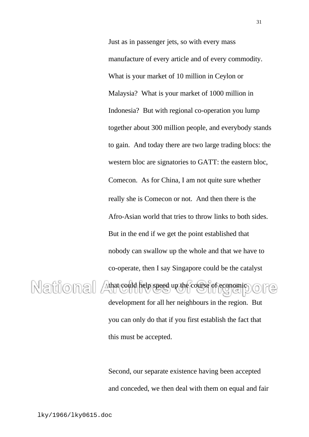Just as in passenger jets, so with every mass manufacture of every article and of every commodity. What is your market of 10 million in Ceylon or Malaysia? What is your market of 1000 million in Indonesia? But with regional co-operation you lump together about 300 million people, and everybody stands to gain. And today there are two large trading blocs: the western bloc are signatories to GATT: the eastern bloc, Comecon. As for China, I am not quite sure whether really she is Comecon or not. And then there is the Afro-Asian world that tries to throw links to both sides. But in the end if we get the point established that nobody can swallow up the whole and that we have to co-operate, then I say Singapore could be the catalyst

### Mational Athat could help speed up the course of economic

development for all her neighbours in the region. But you can only do that if you first establish the fact that this must be accepted.

Second, our separate existence having been accepted and conceded, we then deal with them on equal and fair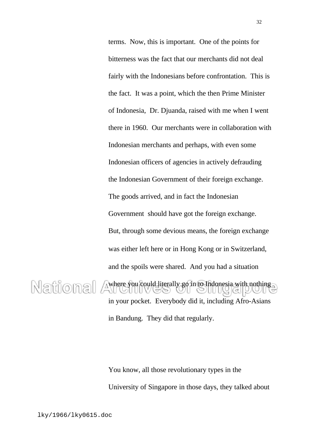terms. Now, this is important. One of the points for bitterness was the fact that our merchants did not deal fairly with the Indonesians before confrontation. This is the fact. It was a point, which the then Prime Minister of Indonesia, Dr. Djuanda, raised with me when I went there in 1960. Our merchants were in collaboration with Indonesian merchants and perhaps, with even some Indonesian officers of agencies in actively defrauding the Indonesian Government of their foreign exchange. The goods arrived, and in fact the Indonesian Government should have got the foreign exchange. But, through some devious means, the foreign exchange was either left here or in Hong Kong or in Switzerland, and the spoils were shared. And you had a situation  $\mathbb{N}$ ational  $\mathbb{A}$ where you could literally go in to Indonesia with nothing  $|Q|$ 

> in your pocket. Everybody did it, including Afro-Asians in Bandung. They did that regularly.

You know, all those revolutionary types in the University of Singapore in those days, they talked about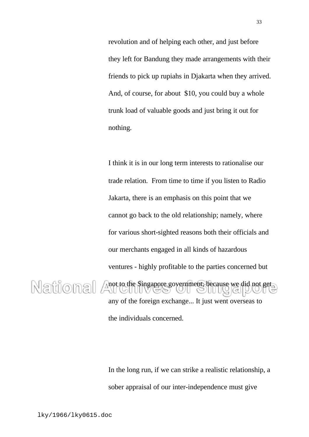revolution and of helping each other, and just before they left for Bandung they made arrangements with their friends to pick up rupiahs in Djakarta when they arrived. And, of course, for about \$10, you could buy a whole trunk load of valuable goods and just bring it out for nothing.

I think it is in our long term interests to rationalise our trade relation. From time to time if you listen to Radio Jakarta, there is an emphasis on this point that we cannot go back to the old relationship; namely, where for various short-sighted reasons both their officials and our merchants engaged in all kinds of hazardous ventures - highly profitable to the parties concerned but National Anot to the Singapore government, because we did not get any of the foreign exchange... It just went overseas to the individuals concerned.

> In the long run, if we can strike a realistic relationship, a sober appraisal of our inter-independence must give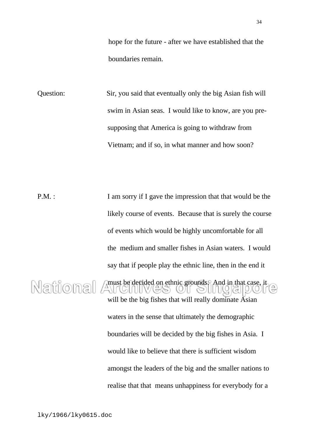hope for the future - after we have established that the boundaries remain.

Question: Sir, you said that eventually only the big Asian fish will swim in Asian seas. I would like to know, are you presupposing that America is going to withdraw from Vietnam; and if so, in what manner and how soon?

P.M. : I am sorry if I gave the impression that that would be the likely course of events. Because that is surely the course of events which would be highly uncomfortable for all the medium and smaller fishes in Asian waters. I would say that if people play the ethnic line, then in the end it

 $\triangle$  must be decided on ethnic grounds. And in that case, it National will be the big fishes that will really dominate Asian waters in the sense that ultimately the demographic boundaries will be decided by the big fishes in Asia. I would like to believe that there is sufficient wisdom amongst the leaders of the big and the smaller nations to realise that that means unhappiness for everybody for a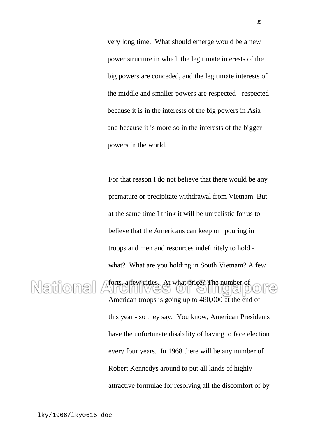very long time. What should emerge would be a new power structure in which the legitimate interests of the big powers are conceded, and the legitimate interests of the middle and smaller powers are respected - respected because it is in the interests of the big powers in Asia and because it is more so in the interests of the bigger powers in the world.

For that reason I do not believe that there would be any premature or precipitate withdrawal from Vietnam. But at the same time I think it will be unrealistic for us to believe that the Americans can keep on pouring in troops and men and resources indefinitely to hold what? What are you holding in South Vietnam? A few

Mational Aforts, a few cities. At what price? The number of American troops is going up to 480,000 at the end of

> this year - so they say. You know, American Presidents have the unfortunate disability of having to face election every four years. In 1968 there will be any number of Robert Kennedys around to put all kinds of highly attractive formulae for resolving all the discomfort of by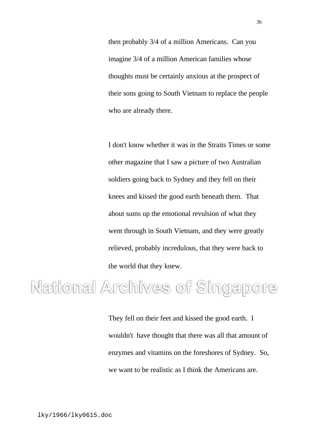then probably 3/4 of a million Americans. Can you imagine 3/4 of a million American families whose thoughts must be certainly anxious at the prospect of their sons going to South Vietnam to replace the people who are already there.

I don't know whether it was in the Straits Times or some other magazine that I saw a picture of two Australian soldiers going back to Sydney and they fell on their knees and kissed the good earth beneath them. That about sums up the emotional revulsion of what they went through in South Vietnam, and they were greatly relieved, probably incredulous, that they were back to the world that they knew.

## National Archives of Singapore

They fell on their feet and kissed the good earth. I wouldn't have thought that there was all that amount of enzymes and vitamins on the foreshores of Sydney. So, we want to be realistic as I think the Americans are.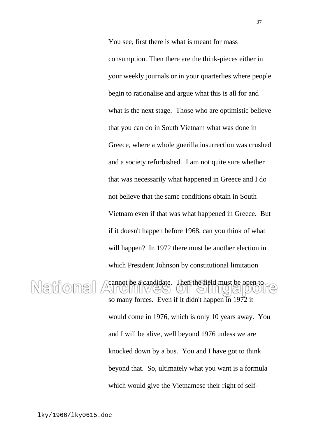You see, first there is what is meant for mass consumption. Then there are the think-pieces either in your weekly journals or in your quarterlies where people begin to rationalise and argue what this is all for and what is the next stage. Those who are optimistic believe that you can do in South Vietnam what was done in Greece, where a whole guerilla insurrection was crushed and a society refurbished. I am not quite sure whether that was necessarily what happened in Greece and I do not believe that the same conditions obtain in South Vietnam even if that was what happened in Greece. But if it doesn't happen before 1968, can you think of what will happen? In 1972 there must be another election in which President Johnson by constitutional limitation

National  $||(0|G||0)(0)$ so many forces. Even if it didn't happen in 1972 it would come in 1976, which is only 10 years away. You and I will be alive, well beyond 1976 unless we are knocked down by a bus. You and I have got to think beyond that. So, ultimately what you want is a formula which would give the Vietnamese their right of self-

cannot be a candidate. Then the field must be open to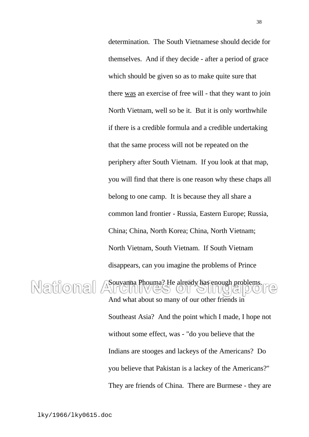determination. The South Vietnamese should decide for themselves. And if they decide - after a period of grace which should be given so as to make quite sure that there was an exercise of free will - that they want to join North Vietnam, well so be it. But it is only worthwhile if there is a credible formula and a credible undertaking that the same process will not be repeated on the periphery after South Vietnam. If you look at that map, you will find that there is one reason why these chaps all belong to one camp. It is because they all share a common land frontier - Russia, Eastern Europe; Russia, China; China, North Korea; China, North Vietnam; North Vietnam, South Vietnam. If South Vietnam disappears, can you imagine the problems of Prince

#### Souvanna Phouma? He already has enough problems. National And what about so many of our other friends in

Southeast Asia? And the point which I made, I hope not without some effect, was - "do you believe that the Indians are stooges and lackeys of the Americans? Do you believe that Pakistan is a lackey of the Americans?" They are friends of China. There are Burmese - they are